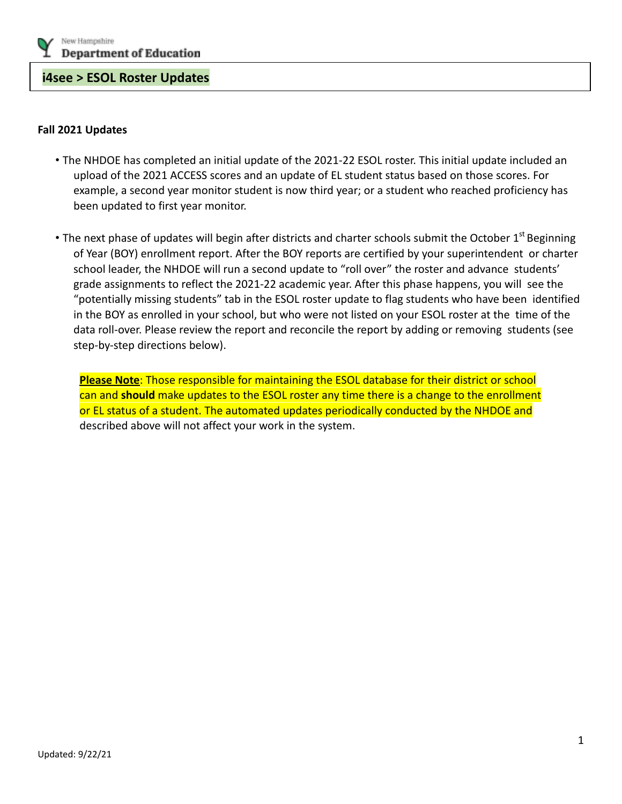## **i4see > ESOL Roster Updates**

## **Fall 2021 Updates**

- The NHDOE has completed an initial update of the 2021-22 ESOL roster. This initial update included an upload of the 2021 ACCESS scores and an update of EL student status based on those scores. For example, a second year monitor student is now third year; or a student who reached proficiency has been updated to first year monitor.
- The next phase of updates will begin after districts and charter schools submit the October  $1<sup>st</sup>$  Beginning of Year (BOY) enrollment report. After the BOY reports are certified by your superintendent or charter school leader, the NHDOE will run a second update to "roll over" the roster and advance students' grade assignments to reflect the 2021-22 academic year. After this phase happens, you will see the "potentially missing students" tab in the ESOL roster update to flag students who have been identified in the BOY as enrolled in your school, but who were not listed on your ESOL roster at the time of the data roll-over. Please review the report and reconcile the report by adding or removing students (see step-by-step directions below).

**Please Note**: Those responsible for maintaining the ESOL database for their district or school can and **should** make updates to the ESOL roster any time there is a change to the enrollment or EL status of a student. The automated updates periodically conducted by the NHDOE and described above will not affect your work in the system.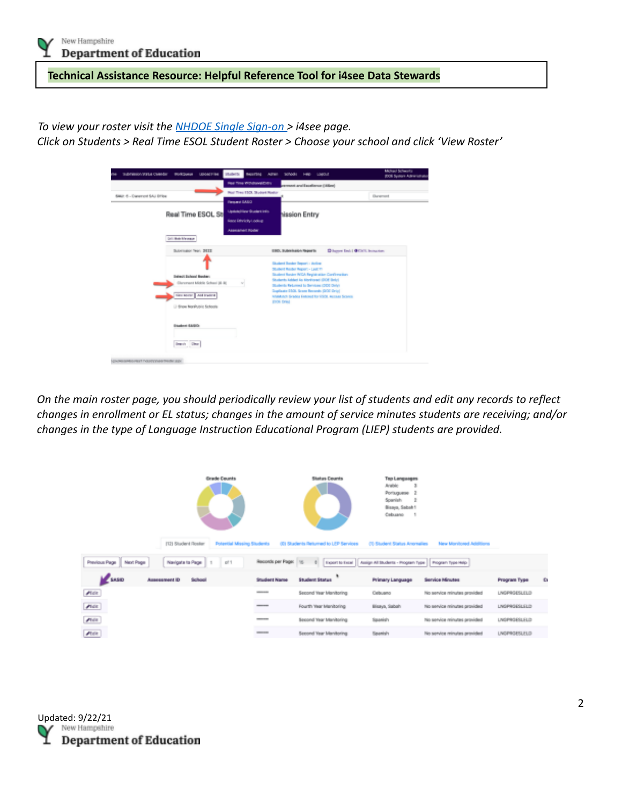**Technical Assistance Resource: Helpful Reference Tool for i4see Data Stewards**

*To view your roster visit the NHDOE Single Sign-on > i4see page.*

*Click on Students > Real Time ESOL Student Roster > Choose your school and click 'View Roster'*

| <b>ROSQUED USONTING</b><br>TABINERO/VIRTUA CIMENSET<br>Habel'S<br><b>Visit</b>                                                     | McNecl Schwertz<br><b>BALLETON ASTAN</b><br><b>Schools</b><br><b>LOOKE</b><br><b>HELD</b><br><b>DOI System Administrate</b>                                                                                                                                                                                                              |
|------------------------------------------------------------------------------------------------------------------------------------|------------------------------------------------------------------------------------------------------------------------------------------------------------------------------------------------------------------------------------------------------------------------------------------------------------------------------------------|
| <b>Red Time WithdrawalDidry</b><br>Rod Tree ESS, Stylent Rodor                                                                     | (endit) somked land interes                                                                                                                                                                                                                                                                                                              |
| SALE 6 - Elanement SAU Effice<br><b>Financial GASO</b>                                                                             | <b>Owners</b>                                                                                                                                                                                                                                                                                                                            |
| <b>Update/Haw Graders Info.</b><br>Real Time ESOL St<br>Sand Editricity) cytings<br>Assessment Roder<br><b>Gold Made Alexander</b> | hission Entry                                                                                                                                                                                                                                                                                                                            |
| Substitution News, 2022.                                                                                                           | Diluppe Ind.] @Cit'l, Instanton.<br>EBO, Submission Reports                                                                                                                                                                                                                                                                              |
| <b>Beheck Bichood Bookers</b><br>Glancework Middle School (6-8)<br>tion some And traded<br>13 Show Norshutsin Schools              | <b>Guiard Basker Depart : Action</b><br>Student Roder Report - Lear PL<br>Student Roster R/CA Registration Conferentials<br>Students liabled its libritured (IOE links)<br>Students Returned to Services (DDE/SHV)<br>Suplants \$500, Score Becamb: (\$50) Origi<br>Middlech Srades Entract for VSOL Account Scances<br><b>EDOK DYNA</b> |
| <b>Elephone SAIRIO</b><br><b>David</b> Che                                                                                         |                                                                                                                                                                                                                                                                                                                                          |
| CHARGEMENT NERVISERING END                                                                                                         |                                                                                                                                                                                                                                                                                                                                          |

*On the main roster page, you should periodically review your list of students and edit any records to reflect changes in enrollment or EL status; changes in the amount of service minutes students are receiving; and/or changes in the type of Language Instruction Educational Program (LIEP) students are provided.*

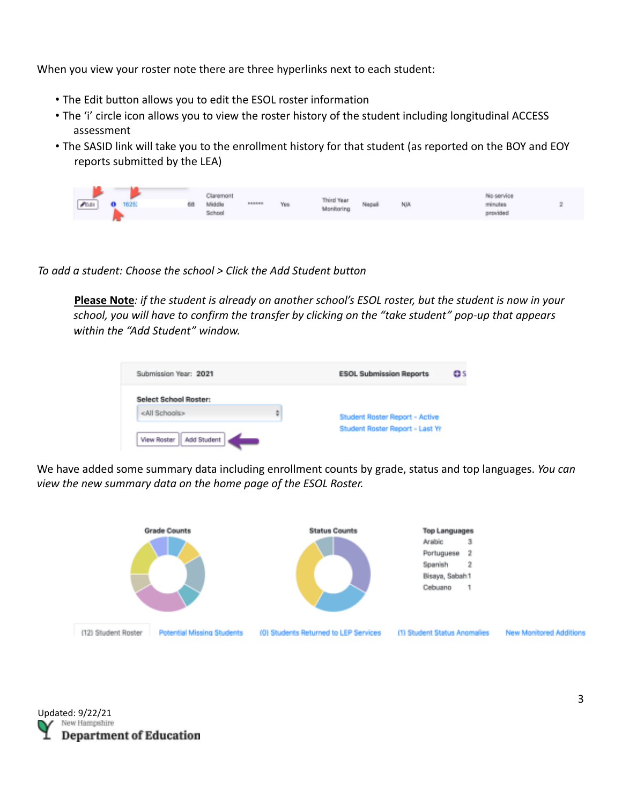When you view your roster note there are three hyperlinks next to each student:

- The Edit button allows you to edit the ESOL roster information
- The 'i' circle icon allows you to view the roster history of the student including longitudinal ACCESS assessment
- The SASID link will take you to the enrollment history for that student (as reported on the BOY and EOY reports submitted by the LEA)

| $\pmb{\mathcal{P}}$ Isdir |  | <b>0</b> 1625 | 68 | Claremont<br>Middle<br>School | <b><i><u>PRODUCE</u></i></b> | Yes | <b>Third Year</b><br>Monitoring | Nepali | NJA. | No service<br>minutes<br>bebivora |  |
|---------------------------|--|---------------|----|-------------------------------|------------------------------|-----|---------------------------------|--------|------|-----------------------------------|--|
|---------------------------|--|---------------|----|-------------------------------|------------------------------|-----|---------------------------------|--------|------|-----------------------------------|--|

*To add a student: Choose the school > Click the Add Student button*

**Please Note***: if the student is already on another school's ESOL roster, but the student is now in your school, you will have to confirm the transfer by clicking on the "take student" pop-up that appears within the "Add Student" window.*

| Submission Year: 2021                           | <b>ESOL Submission Reports</b><br><b>O</b> S |
|-------------------------------------------------|----------------------------------------------|
| Select School Roster:<br><all schools=""></all> | Student Roster Report - Active               |
| Add Student<br>View Roster                      | Student Roster Report - Last Yr              |

We have added some summary data including enrollment counts by grade, status and top languages. *You can view the new summary data on the home page of the ESOL Roster.*



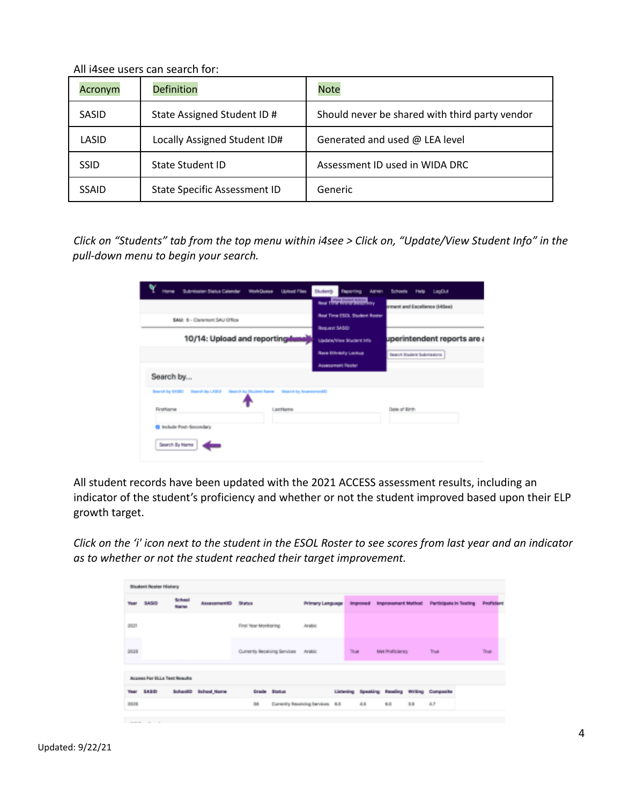| All i4see users can search for: |  |
|---------------------------------|--|
|---------------------------------|--|

| Acronym      | <b>Definition</b>                   | <b>Note</b>                                    |
|--------------|-------------------------------------|------------------------------------------------|
| <b>SASID</b> | State Assigned Student ID #         | Should never be shared with third party vendor |
| LASID        | Locally Assigned Student ID#        | Generated and used @ LEA level                 |
| <b>SSID</b>  | State Student ID                    | Assessment ID used in WIDA DRC                 |
| <b>SSAID</b> | <b>State Specific Assessment ID</b> | Generic                                        |

*Click on "Students" tab from the top menu within i4see > Click on, "Update/View Student Info" in the pull-down menu to begin your search.*

| Submission Status Calendar<br><b>WorkDone</b>                                             | <b>Uploed Files</b> | Admin<br><b>Students</b><br><b>Reporting</b> | <b>Schools</b><br>Help LegDut |
|-------------------------------------------------------------------------------------------|---------------------|----------------------------------------------|-------------------------------|
|                                                                                           |                     | <b>Real Transfer Property</b>                | prment and Excellence (HiSoe) |
| SAU: 6 - Claremont SAU Office                                                             |                     | <b>Real Time ESOL Student Rooter</b>         |                               |
|                                                                                           |                     | Request SASID                                |                               |
| 10/14: Upload and reporting                                                               |                     | Update/View Student Info                     | uperintendent reports are a   |
|                                                                                           |                     | <b>Race Ethnicity Lockson</b>                | Swarch Student Submissions    |
|                                                                                           |                     | <b>Assessment Paster</b>                     |                               |
| Search by                                                                                 |                     |                                              |                               |
| <b>Bearch by BABD</b><br>Search by LABID - Search by Student Name - Search by AssessmentD |                     |                                              |                               |
| FirstName                                                                                 | LastName            |                                              | Date of Birth                 |
| <b>8 Include Post-Secondary</b>                                                           |                     |                                              |                               |

All student records have been updated with the 2021 ACCESS assessment results, including an indicator of the student's proficiency and whether or not the student improved based upon their ELP growth target.

*Click on the 'i' icon next to the student in the ESOL Roster to see scores from last year and an indicator as to whether or not the student reached their target improvement.*

|      | Student Roster History                |                       |                      |                                     |                                      |      |                 |         |                                                                     |                   |
|------|---------------------------------------|-----------------------|----------------------|-------------------------------------|--------------------------------------|------|-----------------|---------|---------------------------------------------------------------------|-------------------|
|      | Year 5A5/3                            | School<br><b>Name</b> | Assessment80 Status  |                                     |                                      |      |                 |         | Primary Language Improved Improvement Method Participate in Testing | <b>Proficient</b> |
| 3021 |                                       |                       |                      | First Year Monitering               | Arabic                               |      |                 |         |                                                                     |                   |
| 3039 |                                       |                       |                      | Currently Receiving Services Arabic |                                      | True | Met Proficiency |         | True                                                                | Tirus             |
|      | Access For ELLs Test Results          |                       |                      |                                     |                                      |      |                 |         |                                                                     |                   |
|      | Year SASID                            |                       | Schoolt3 School Name | Grade Status                        |                                      |      |                 |         | Listening Speaking Reading Writing Composite                        |                   |
| 3030 |                                       |                       |                      | GR.                                 | Currently Receiving Services 6.0 4.5 |      |                 | 3.0 4.7 |                                                                     |                   |
|      | contract and contract the contract of |                       |                      |                                     |                                      |      |                 |         |                                                                     |                   |